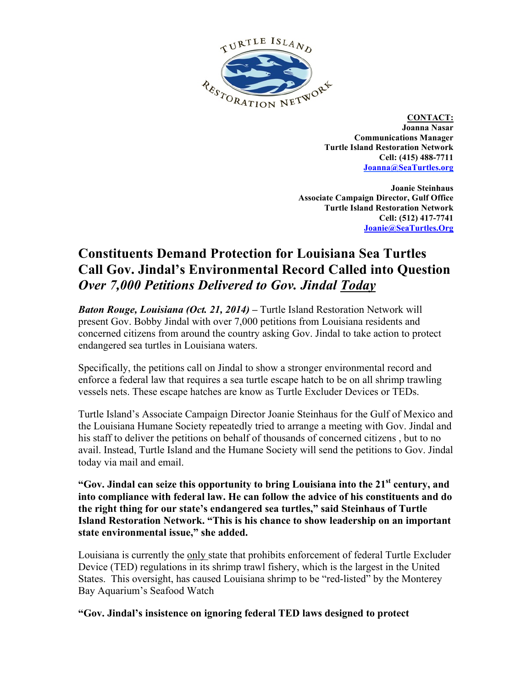

**CONTACT: Joanna Nasar Communications Manager Turtle Island Restoration Network Cell: (415) 488-7711 Joanna@SeaTurtles.org**

**Joanie Steinhaus Associate Campaign Director, Gulf Office Turtle Island Restoration Network Cell: (512) 417-7741 Joanie@SeaTurtles.Org**

## **Constituents Demand Protection for Louisiana Sea Turtles Call Gov. Jindal's Environmental Record Called into Question**  *Over 7,000 Petitions Delivered to Gov. Jindal Today*

*Baton Rouge, Louisiana (Oct. 21, 2014) –* Turtle Island Restoration Network will present Gov. Bobby Jindal with over 7,000 petitions from Louisiana residents and concerned citizens from around the country asking Gov. Jindal to take action to protect endangered sea turtles in Louisiana waters.

Specifically, the petitions call on Jindal to show a stronger environmental record and enforce a federal law that requires a sea turtle escape hatch to be on all shrimp trawling vessels nets. These escape hatches are know as Turtle Excluder Devices or TEDs.

Turtle Island's Associate Campaign Director Joanie Steinhaus for the Gulf of Mexico and the Louisiana Humane Society repeatedly tried to arrange a meeting with Gov. Jindal and his staff to deliver the petitions on behalf of thousands of concerned citizens , but to no avail. Instead, Turtle Island and the Humane Society will send the petitions to Gov. Jindal today via mail and email.

**"Gov. Jindal can seize this opportunity to bring Louisiana into the 21st century, and into compliance with federal law. He can follow the advice of his constituents and do the right thing for our state's endangered sea turtles," said Steinhaus of Turtle Island Restoration Network. "This is his chance to show leadership on an important state environmental issue," she added.**

Louisiana is currently the only state that prohibits enforcement of federal Turtle Excluder Device (TED) regulations in its shrimp trawl fishery, which is the largest in the United States. This oversight, has caused Louisiana shrimp to be "red-listed" by the Monterey Bay Aquarium's Seafood Watch

**"Gov. Jindal's insistence on ignoring federal TED laws designed to protect**